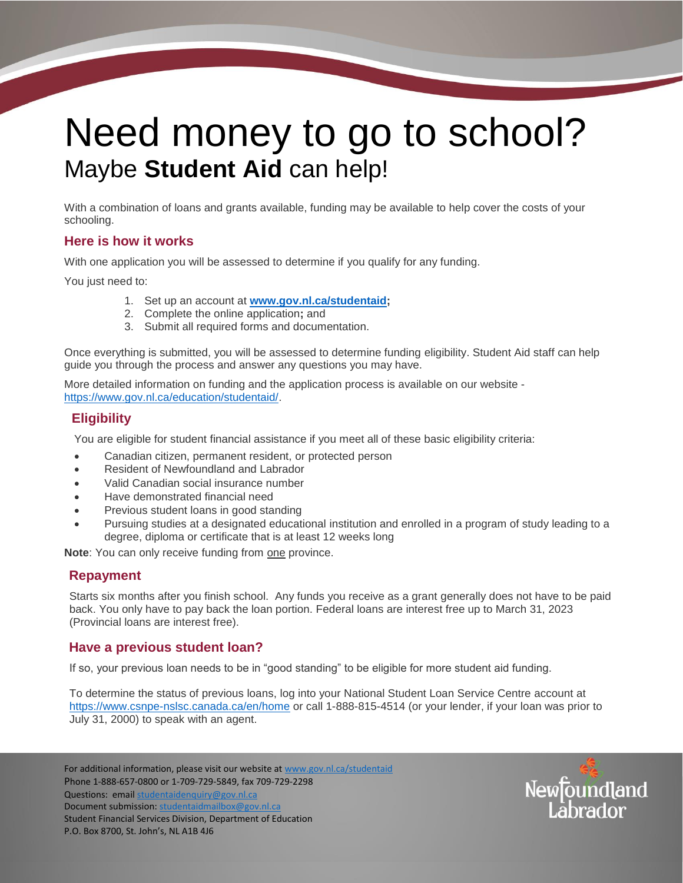# Need money to go to school? Maybe **Student Aid** can help!

With a combination of loans and grants available, funding may be available to help cover the costs of your schooling.

#### **Here is how it works**

With one application you will be assessed to determine if you qualify for any funding.

You just need to:

- 1. Set up an account at **[www.gov.nl.ca/studentaid;](http://www.gov.nl.ca/studentaid)**
- 2. Complete the online application**;** and
- 3. Submit all required forms and documentation.

Once everything is submitted, you will be assessed to determine funding eligibility. Student Aid staff can help guide you through the process and answer any questions you may have.

More detailed information on funding and the application process is available on our website [https://www.gov.nl.ca/education/studentaid/.](https://www.gov.nl.ca/education/studentaid/)

### **Eligibility**

You are eligible for student financial assistance if you meet all of these basic eligibility criteria:

- Canadian citizen, permanent resident, or protected person
- Resident of Newfoundland and Labrador
- Valid Canadian social insurance number
- Have demonstrated financial need
- Previous student loans in good standing
- Pursuing studies at a designated educational institution and enrolled in a program of study leading to a degree, diploma or certificate that is at least 12 weeks long

**Note**: You can only receive funding from one province.

#### **Repayment**

Starts six months after you finish school. Any funds you receive as a grant generally does not have to be paid back. You only have to pay back the loan portion. Federal loans are interest free up to March 31, 2023 (Provincial loans are interest free).

#### **Have a previous student loan?**

If so, your previous loan needs to be in "good standing" to be eligible for more student aid funding.

To determine the status of previous loans, log into your National Student Loan Service Centre account at <https://www.csnpe-nslsc.canada.ca/en/home> or call 1-888-815-4514 (or your lender, if your loan was prior to July 31, 2000) to speak with an agent.